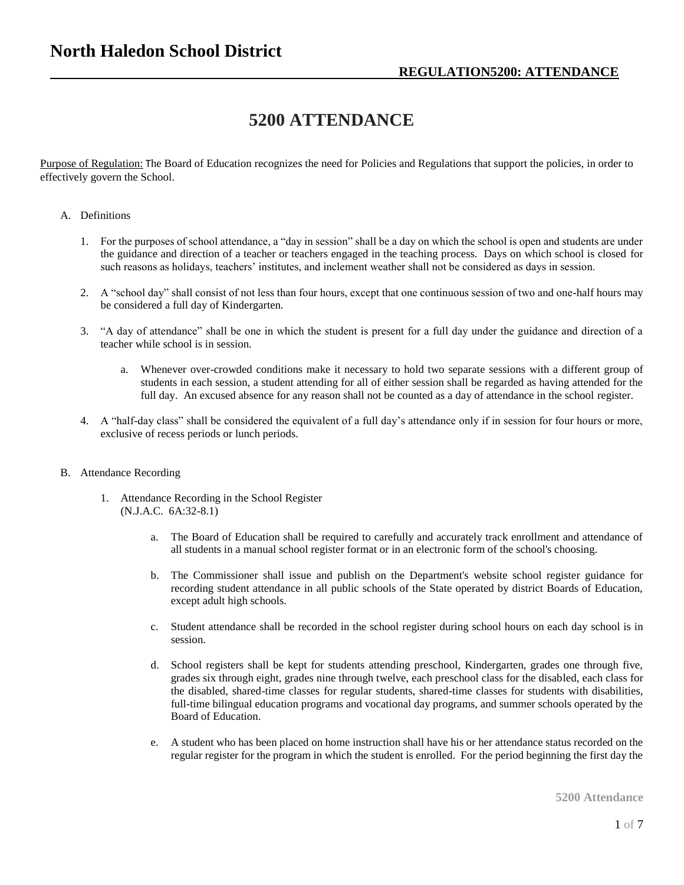# **5200 ATTENDANCE**

Purpose of Regulation: The Board of Education recognizes the need for Policies and Regulations that support the policies, in order to effectively govern the School.

#### A. Definitions

- 1. For the purposes of school attendance, a "day in session" shall be a day on which the school is open and students are under the guidance and direction of a teacher or teachers engaged in the teaching process. Days on which school is closed for such reasons as holidays, teachers' institutes, and inclement weather shall not be considered as days in session.
- 2. A "school day" shall consist of not less than four hours, except that one continuous session of two and one-half hours may be considered a full day of Kindergarten.
- 3. "A day of attendance" shall be one in which the student is present for a full day under the guidance and direction of a teacher while school is in session.
	- a. Whenever over-crowded conditions make it necessary to hold two separate sessions with a different group of students in each session, a student attending for all of either session shall be regarded as having attended for the full day. An excused absence for any reason shall not be counted as a day of attendance in the school register.
- 4. A "half-day class" shall be considered the equivalent of a full day's attendance only if in session for four hours or more, exclusive of recess periods or lunch periods.

#### B. Attendance Recording

- 1. Attendance Recording in the School Register (N.J.A.C. 6A:32-8.1)
	- a. The Board of Education shall be required to carefully and accurately track enrollment and attendance of all students in a manual school register format or in an electronic form of the school's choosing.
	- b. The Commissioner shall issue and publish on the Department's website school register guidance for recording student attendance in all public schools of the State operated by district Boards of Education, except adult high schools.
	- c. Student attendance shall be recorded in the school register during school hours on each day school is in session.
	- d. School registers shall be kept for students attending preschool, Kindergarten, grades one through five, grades six through eight, grades nine through twelve, each preschool class for the disabled, each class for the disabled, shared-time classes for regular students, shared-time classes for students with disabilities, full-time bilingual education programs and vocational day programs, and summer schools operated by the Board of Education.
	- e. A student who has been placed on home instruction shall have his or her attendance status recorded on the regular register for the program in which the student is enrolled. For the period beginning the first day the

**5200 Attendance**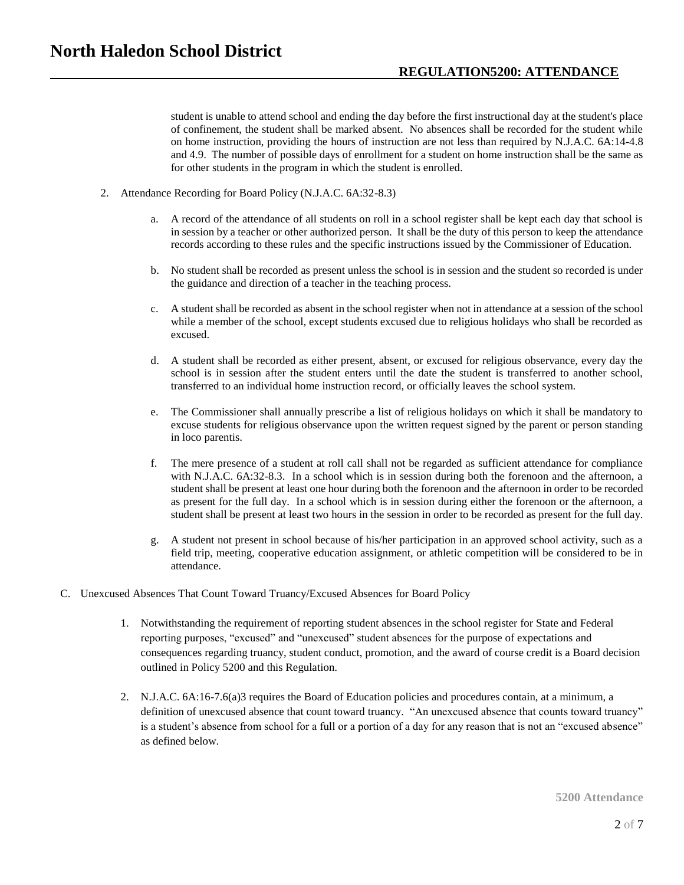student is unable to attend school and ending the day before the first instructional day at the student's place of confinement, the student shall be marked absent. No absences shall be recorded for the student while on home instruction, providing the hours of instruction are not less than required by N.J.A.C. 6A:14-4.8 and 4.9. The number of possible days of enrollment for a student on home instruction shall be the same as for other students in the program in which the student is enrolled.

- 2. Attendance Recording for Board Policy (N.J.A.C. 6A:32-8.3)
	- a. A record of the attendance of all students on roll in a school register shall be kept each day that school is in session by a teacher or other authorized person. It shall be the duty of this person to keep the attendance records according to these rules and the specific instructions issued by the Commissioner of Education.
	- b. No student shall be recorded as present unless the school is in session and the student so recorded is under the guidance and direction of a teacher in the teaching process.
	- c. A student shall be recorded as absent in the school register when not in attendance at a session of the school while a member of the school, except students excused due to religious holidays who shall be recorded as excused.
	- d. A student shall be recorded as either present, absent, or excused for religious observance, every day the school is in session after the student enters until the date the student is transferred to another school, transferred to an individual home instruction record, or officially leaves the school system.
	- e. The Commissioner shall annually prescribe a list of religious holidays on which it shall be mandatory to excuse students for religious observance upon the written request signed by the parent or person standing in loco parentis.
	- f. The mere presence of a student at roll call shall not be regarded as sufficient attendance for compliance with N.J.A.C. 6A:32-8.3. In a school which is in session during both the forenoon and the afternoon, a student shall be present at least one hour during both the forenoon and the afternoon in order to be recorded as present for the full day. In a school which is in session during either the forenoon or the afternoon, a student shall be present at least two hours in the session in order to be recorded as present for the full day.
	- g. A student not present in school because of his/her participation in an approved school activity, such as a field trip, meeting, cooperative education assignment, or athletic competition will be considered to be in attendance.
- C. Unexcused Absences That Count Toward Truancy/Excused Absences for Board Policy
	- 1. Notwithstanding the requirement of reporting student absences in the school register for State and Federal reporting purposes, "excused" and "unexcused" student absences for the purpose of expectations and consequences regarding truancy, student conduct, promotion, and the award of course credit is a Board decision outlined in Policy 5200 and this Regulation.
	- 2. N.J.A.C. 6A:16-7.6(a)3 requires the Board of Education policies and procedures contain, at a minimum, a definition of unexcused absence that count toward truancy. "An unexcused absence that counts toward truancy" is a student's absence from school for a full or a portion of a day for any reason that is not an "excused absence" as defined below.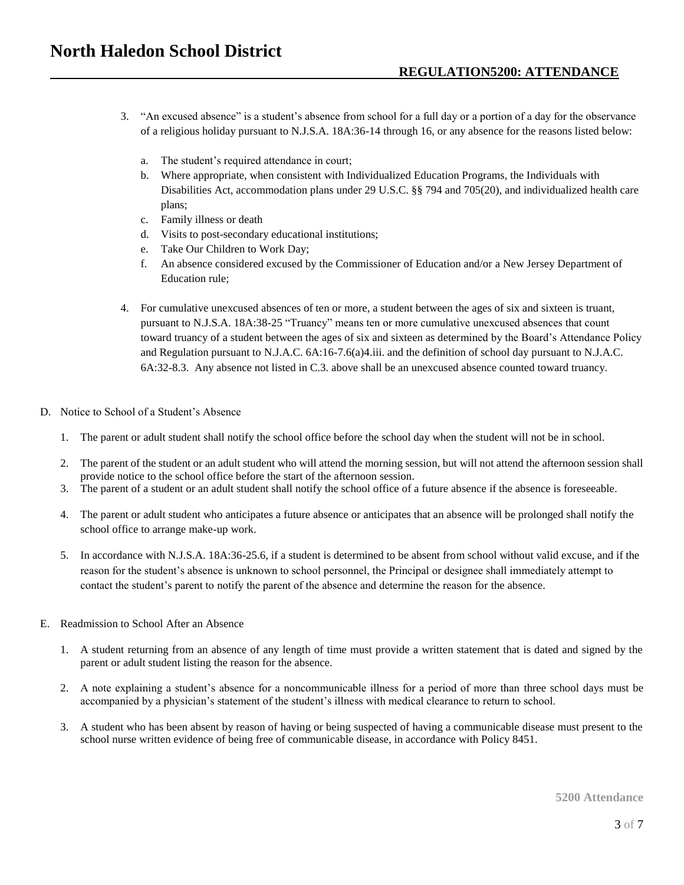- 3. "An excused absence" is a student's absence from school for a full day or a portion of a day for the observance of a religious holiday pursuant to N.J.S.A. 18A:36-14 through 16, or any absence for the reasons listed below:
	- a. The student's required attendance in court;
	- b. Where appropriate, when consistent with Individualized Education Programs, the Individuals with Disabilities Act, accommodation plans under 29 U.S.C. §§ 794 and 705(20), and individualized health care plans;
	- c. Family illness or death
	- d. Visits to post-secondary educational institutions;
	- e. Take Our Children to Work Day;
	- f. An absence considered excused by the Commissioner of Education and/or a New Jersey Department of Education rule;
- 4. For cumulative unexcused absences of ten or more, a student between the ages of six and sixteen is truant, pursuant to N.J.S.A. 18A:38-25 "Truancy" means ten or more cumulative unexcused absences that count toward truancy of a student between the ages of six and sixteen as determined by the Board's Attendance Policy and Regulation pursuant to N.J.A.C. 6A:16-7.6(a)4.iii. and the definition of school day pursuant to N.J.A.C. 6A:32-8.3. Any absence not listed in C.3. above shall be an unexcused absence counted toward truancy.
- D. Notice to School of a Student's Absence
	- 1. The parent or adult student shall notify the school office before the school day when the student will not be in school.
	- 2. The parent of the student or an adult student who will attend the morning session, but will not attend the afternoon session shall provide notice to the school office before the start of the afternoon session.
	- 3. The parent of a student or an adult student shall notify the school office of a future absence if the absence is foreseeable.
	- 4. The parent or adult student who anticipates a future absence or anticipates that an absence will be prolonged shall notify the school office to arrange make-up work.
	- 5. In accordance with N.J.S.A. 18A:36-25.6, if a student is determined to be absent from school without valid excuse, and if the reason for the student's absence is unknown to school personnel, the Principal or designee shall immediately attempt to contact the student's parent to notify the parent of the absence and determine the reason for the absence.
- E. Readmission to School After an Absence
	- 1. A student returning from an absence of any length of time must provide a written statement that is dated and signed by the parent or adult student listing the reason for the absence.
	- 2. A note explaining a student's absence for a noncommunicable illness for a period of more than three school days must be accompanied by a physician's statement of the student's illness with medical clearance to return to school.
	- 3. A student who has been absent by reason of having or being suspected of having a communicable disease must present to the school nurse written evidence of being free of communicable disease, in accordance with Policy 8451.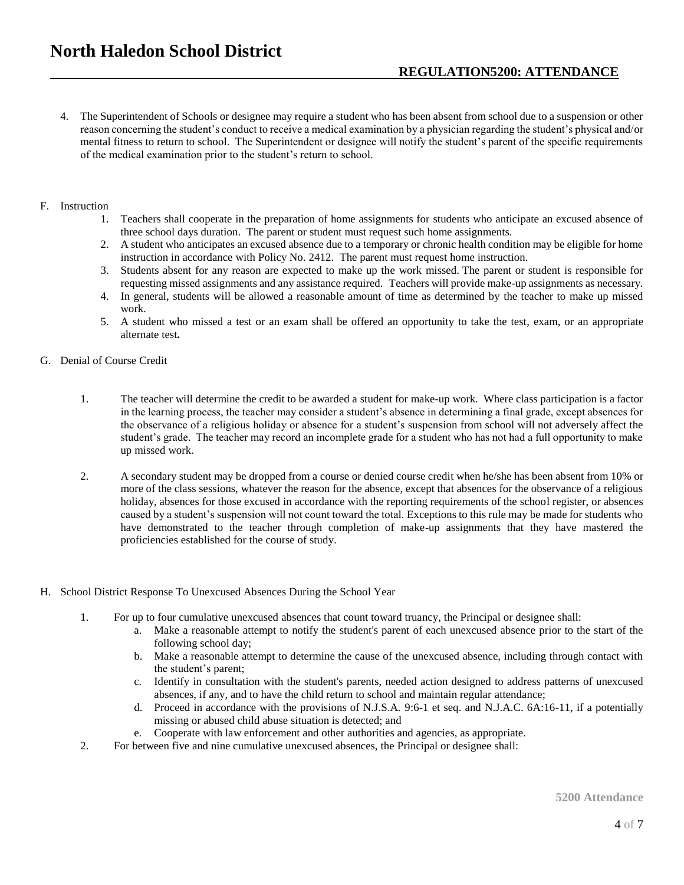- 4. The Superintendent of Schools or designee may require a student who has been absent from school due to a suspension or other reason concerning the student's conduct to receive a medical examination by a physician regarding the student's physical and/or mental fitness to return to school. The Superintendent or designee will notify the student's parent of the specific requirements of the medical examination prior to the student's return to school.
- F. Instruction
	- 1. Teachers shall cooperate in the preparation of home assignments for students who anticipate an excused absence of three school days duration. The parent or student must request such home assignments.
	- 2. A student who anticipates an excused absence due to a temporary or chronic health condition may be eligible for home instruction in accordance with Policy No. 2412. The parent must request home instruction.
	- 3. Students absent for any reason are expected to make up the work missed. The parent or student is responsible for requesting missed assignments and any assistance required. Teachers will provide make-up assignments as necessary.
	- 4. In general, students will be allowed a reasonable amount of time as determined by the teacher to make up missed work.
	- 5. A student who missed a test or an exam shall be offered an opportunity to take the test, exam, or an appropriate alternate test**.**
- G. Denial of Course Credit
	- 1. The teacher will determine the credit to be awarded a student for make-up work. Where class participation is a factor in the learning process, the teacher may consider a student's absence in determining a final grade, except absences for the observance of a religious holiday or absence for a student's suspension from school will not adversely affect the student's grade. The teacher may record an incomplete grade for a student who has not had a full opportunity to make up missed work.
	- 2. A secondary student may be dropped from a course or denied course credit when he/she has been absent from 10% or more of the class sessions, whatever the reason for the absence, except that absences for the observance of a religious holiday, absences for those excused in accordance with the reporting requirements of the school register, or absences caused by a student's suspension will not count toward the total. Exceptions to this rule may be made for students who have demonstrated to the teacher through completion of make-up assignments that they have mastered the proficiencies established for the course of study.
- H. School District Response To Unexcused Absences During the School Year
	- 1. For up to four cumulative unexcused absences that count toward truancy, the Principal or designee shall:
		- a. Make a reasonable attempt to notify the student's parent of each unexcused absence prior to the start of the following school day;
		- b. Make a reasonable attempt to determine the cause of the unexcused absence, including through contact with the student's parent;
		- c. Identify in consultation with the student's parents, needed action designed to address patterns of unexcused absences, if any, and to have the child return to school and maintain regular attendance;
		- d. Proceed in accordance with the provisions of N.J.S.A. 9:6-1 et seq. and N.J.A.C. 6A:16-11, if a potentially missing or abused child abuse situation is detected; and
		- e. Cooperate with law enforcement and other authorities and agencies, as appropriate.
	- 2. For between five and nine cumulative unexcused absences, the Principal or designee shall: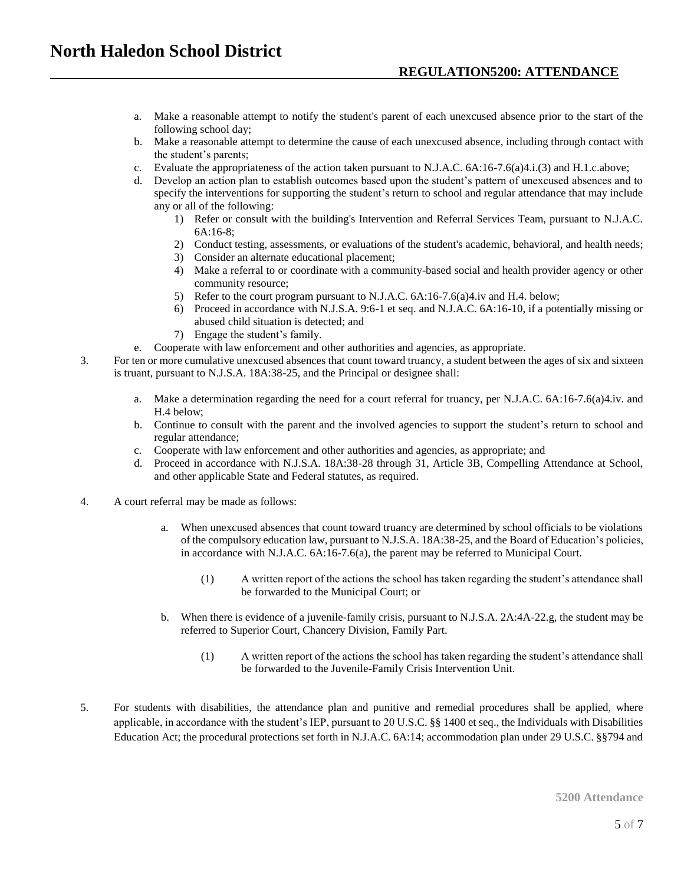- a. Make a reasonable attempt to notify the student's parent of each unexcused absence prior to the start of the following school day;
- b. Make a reasonable attempt to determine the cause of each unexcused absence, including through contact with the student's parents;
- c. Evaluate the appropriateness of the action taken pursuant to N.J.A.C. 6A:16-7.6(a)4.i.(3) and H.1.c.above;
- d. Develop an action plan to establish outcomes based upon the student's pattern of unexcused absences and to specify the interventions for supporting the student's return to school and regular attendance that may include any or all of the following:
	- 1) Refer or consult with the building's Intervention and Referral Services Team, pursuant to N.J.A.C. 6A:16-8;
	- 2) Conduct testing, assessments, or evaluations of the student's academic, behavioral, and health needs;
	- 3) Consider an alternate educational placement;
	- 4) Make a referral to or coordinate with a community-based social and health provider agency or other community resource;
	- 5) Refer to the court program pursuant to N.J.A.C. 6A:16-7.6(a)4.iv and H.4. below;
	- 6) Proceed in accordance with N.J.S.A. 9:6-1 et seq. and N.J.A.C. 6A:16-10, if a potentially missing or abused child situation is detected; and
	- 7) Engage the student's family.
- e. Cooperate with law enforcement and other authorities and agencies, as appropriate.
- 3. For ten or more cumulative unexcused absences that count toward truancy, a student between the ages of six and sixteen is truant, pursuant to N.J.S.A. 18A:38-25, and the Principal or designee shall:
	- a. Make a determination regarding the need for a court referral for truancy, per N.J.A.C. 6A:16-7.6(a)4.iv. and H.4 below;
	- b. Continue to consult with the parent and the involved agencies to support the student's return to school and regular attendance;
	- c. Cooperate with law enforcement and other authorities and agencies, as appropriate; and
	- d. Proceed in accordance with N.J.S.A. 18A:38-28 through 31, Article 3B, Compelling Attendance at School, and other applicable State and Federal statutes, as required.
- 4. A court referral may be made as follows:
	- When unexcused absences that count toward truancy are determined by school officials to be violations of the compulsory education law, pursuant to N.J.S.A. 18A:38-25, and the Board of Education's policies, in accordance with N.J.A.C. 6A:16-7.6(a), the parent may be referred to Municipal Court.
		- (1) A written report of the actions the school has taken regarding the student's attendance shall be forwarded to the Municipal Court; or
	- b. When there is evidence of a juvenile-family crisis, pursuant to N.J.S.A. 2A:4A-22.g, the student may be referred to Superior Court, Chancery Division, Family Part.
		- (1) A written report of the actions the school has taken regarding the student's attendance shall be forwarded to the Juvenile-Family Crisis Intervention Unit.
- 5. For students with disabilities, the attendance plan and punitive and remedial procedures shall be applied, where applicable, in accordance with the student's IEP, pursuant to 20 U.S.C. §§ 1400 et seq., the Individuals with Disabilities Education Act; the procedural protections set forth in N.J.A.C. 6A:14; accommodation plan under 29 U.S.C. §§794 and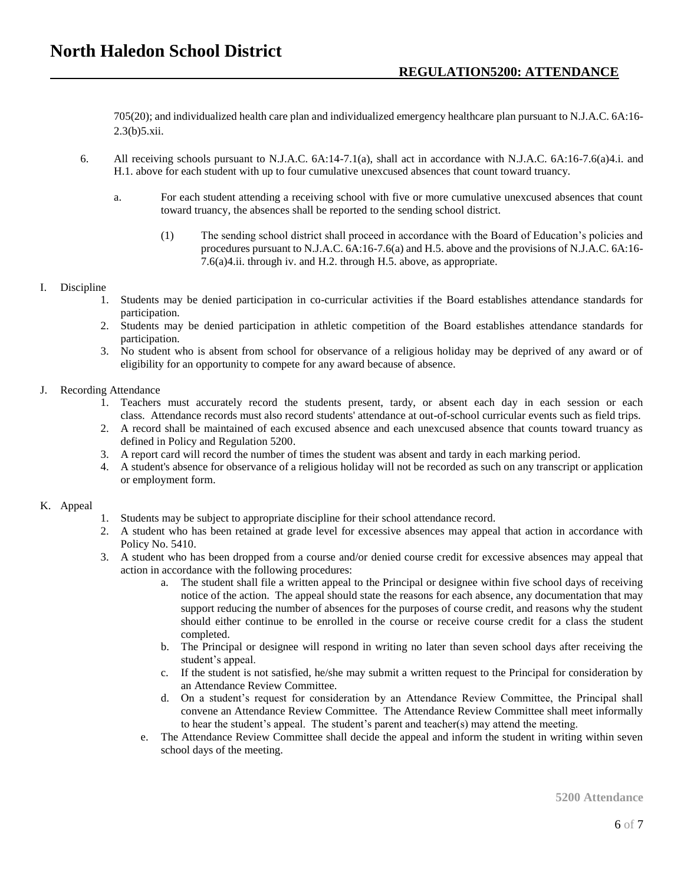705(20); and individualized health care plan and individualized emergency healthcare plan pursuant to N.J.A.C. 6A:16- 2.3(b)5.xii.

- 6. All receiving schools pursuant to N.J.A.C. 6A:14-7.1(a), shall act in accordance with N.J.A.C. 6A:16-7.6(a)4.i. and H.1. above for each student with up to four cumulative unexcused absences that count toward truancy.
	- a. For each student attending a receiving school with five or more cumulative unexcused absences that count toward truancy, the absences shall be reported to the sending school district.
		- (1) The sending school district shall proceed in accordance with the Board of Education's policies and procedures pursuant to N.J.A.C. 6A:16-7.6(a) and H.5. above and the provisions of N.J.A.C. 6A:16- 7.6(a)4.ii. through iv. and H.2. through H.5. above, as appropriate.

## I. Discipline

- 1. Students may be denied participation in co-curricular activities if the Board establishes attendance standards for participation.
- 2. Students may be denied participation in athletic competition of the Board establishes attendance standards for participation.
- 3. No student who is absent from school for observance of a religious holiday may be deprived of any award or of eligibility for an opportunity to compete for any award because of absence.

## J. Recording Attendance

- 1. Teachers must accurately record the students present, tardy, or absent each day in each session or each class. Attendance records must also record students' attendance at out-of-school curricular events such as field trips.
- 2. A record shall be maintained of each excused absence and each unexcused absence that counts toward truancy as defined in Policy and Regulation 5200.
- 3. A report card will record the number of times the student was absent and tardy in each marking period.
- 4. A student's absence for observance of a religious holiday will not be recorded as such on any transcript or application or employment form.

## K. Appeal

- 1. Students may be subject to appropriate discipline for their school attendance record.
- 2. A student who has been retained at grade level for excessive absences may appeal that action in accordance with Policy No. 5410.
- 3. A student who has been dropped from a course and/or denied course credit for excessive absences may appeal that action in accordance with the following procedures:
	- a. The student shall file a written appeal to the Principal or designee within five school days of receiving notice of the action. The appeal should state the reasons for each absence, any documentation that may support reducing the number of absences for the purposes of course credit, and reasons why the student should either continue to be enrolled in the course or receive course credit for a class the student completed.
	- b. The Principal or designee will respond in writing no later than seven school days after receiving the student's appeal.
	- c. If the student is not satisfied, he/she may submit a written request to the Principal for consideration by an Attendance Review Committee.
	- d. On a student's request for consideration by an Attendance Review Committee, the Principal shall convene an Attendance Review Committee. The Attendance Review Committee shall meet informally to hear the student's appeal. The student's parent and teacher(s) may attend the meeting.
	- e. The Attendance Review Committee shall decide the appeal and inform the student in writing within seven school days of the meeting.